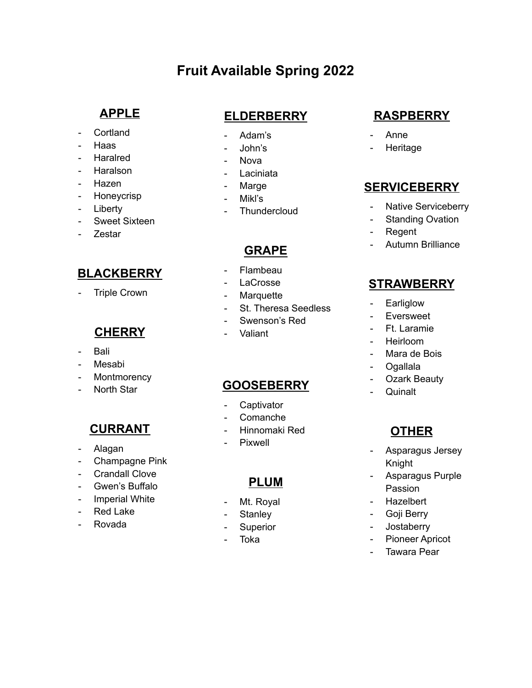# **Fruit Available Spring 2022**

# **APPLE**

- Cortland
- Haas
- Haralred
- Haralson
- **Hazen**
- Honeycrisp
- Liberty
- Sweet Sixteen
- Zestar

# **BLACKBERRY**

- Triple Crown

# **CHERRY**

- Bali
- Mesabi
- Montmorency
- North Star

# **CURRANT**

- Alagan
- Champagne Pink
- Crandall Clove
- Gwen's Buffalo
- Imperial White
- Red Lake
- Rovada

# **ELDERBERRY**

- Adam's
- John's
- Nova
- Laciniata
- Marge
- Mikl's
- **Thundercloud**

# **GRAPE**

- Flambeau
- **LaCrosse**
- Marquette
- St. Theresa Seedless
- Swenson's Red
- Valiant

### **GOOSEBERRY**

- Captivator
- Comanche
- Hinnomaki Red
- Pixwell

### **PLUM**

- Mt. Royal
- Stanley
- Superior
- Toka

# **RASPBERRY**

- Anne
- **Heritage**

### **SERVICEBERRY**

- Native Serviceberry
- Standing Ovation
- Regent
- Autumn Brilliance

### **STRAWBERRY**

- Earliglow
- Eversweet
- Ft. Laramie
- Heirloom
- Mara de Bois
- **Ogallala**
- Ozark Beauty
- Quinalt

# **OTHER**

- Asparagus Jersey Knight
- Asparagus Purple Passion
- Hazelbert
- Goji Berry
- Jostaberry
- Pioneer Apricot
- Tawara Pear